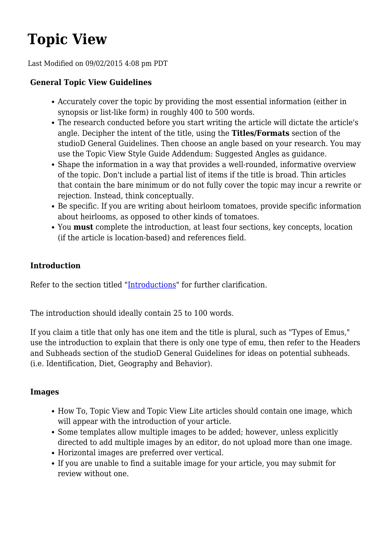# **Topic View**

Last Modified on 09/02/2015 4:08 pm PDT

## **General Topic View Guidelines**

- Accurately cover the topic by providing the most essential information (either in synopsis or list-like form) in roughly 400 to 500 words.
- The research conducted before you start writing the article will dictate the article's angle. Decipher the intent of the title, using the **Titles/Formats** section of the studioD General Guidelines. Then choose an angle based on your research. You may use the Topic View Style Guide Addendum: Suggested Angles as guidance.
- Shape the information in a way that provides a well-rounded, informative overview of the topic. Don't include a partial list of items if the title is broad. Thin articles that contain the bare minimum or do not fully cover the topic may incur a rewrite or rejection. Instead, think conceptually.
- Be specific. If you are writing about heirloom tomatoes, provide specific information about heirlooms, as opposed to other kinds of tomatoes.
- You **must** complete the introduction, at least four sections, key concepts, location (if the article is location-based) and references field.

## **Introduction**

Refer to the section titled ["Introductions"](#page--1-0) for further clarification.

The introduction should ideally contain 25 to 100 words.

If you claim a title that only has one item and the title is plural, such as "Types of Emus," use the introduction to explain that there is only one type of emu, then refer to the Headers and Subheads section of the studioD General Guidelines for ideas on potential subheads. (i.e. Identification, Diet, Geography and Behavior).

## **Images**

- How To, Topic View and Topic View Lite articles should contain one image, which will appear with the introduction of your article.
- Some templates allow multiple images to be added; however, unless explicitly directed to add multiple images by an editor, do not upload more than one image.
- Horizontal images are preferred over vertical.
- If you are unable to find a suitable image for your article, you may submit for review without one.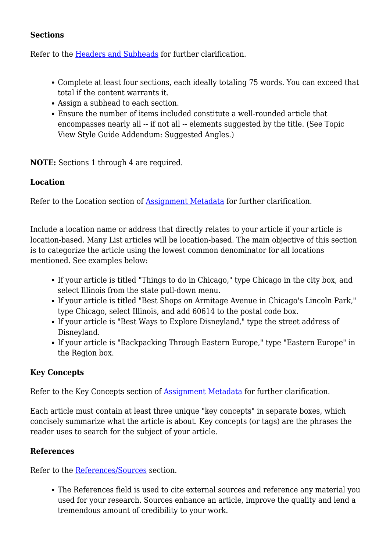## **Sections**

Refer to the [Headers and Subheads](#page--1-0) for further clarification.

- Complete at least four sections, each ideally totaling 75 words. You can exceed that total if the content warrants it.
- Assign a subhead to each section.
- Ensure the number of items included constitute a well-rounded article that encompasses nearly all -- if not all -- elements suggested by the title. (See Topic View Style Guide Addendum: Suggested Angles.)

**NOTE:** Sections 1 through 4 are required.

## **Location**

Refer to the Location section of **[Assignment Metadata](#page--1-0)** for further clarification.

Include a location name or address that directly relates to your article if your article is location-based. Many List articles will be location-based. The main objective of this section is to categorize the article using the lowest common denominator for all locations mentioned. See examples below:

- If your article is titled "Things to do in Chicago," type Chicago in the city box, and select Illinois from the state pull-down menu.
- If your article is titled "Best Shops on Armitage Avenue in Chicago's Lincoln Park," type Chicago, select Illinois, and add 60614 to the postal code box.
- If your article is "Best Ways to Explore Disneyland," type the street address of Disneyland.
- If your article is "Backpacking Through Eastern Europe," type "Eastern Europe" in the Region box.

## **Key Concepts**

Refer to the Key Concepts section of [Assignment Metadata](#page--1-0) for further clarification.

Each article must contain at least three unique "key concepts" in separate boxes, which concisely summarize what the article is about. Key concepts (or tags) are the phrases the reader uses to search for the subject of your article.

## **References**

Refer to the [References/Sources](#page--1-0) section.

The References field is used to cite external sources and reference any material you used for your research. Sources enhance an article, improve the quality and lend a tremendous amount of credibility to your work.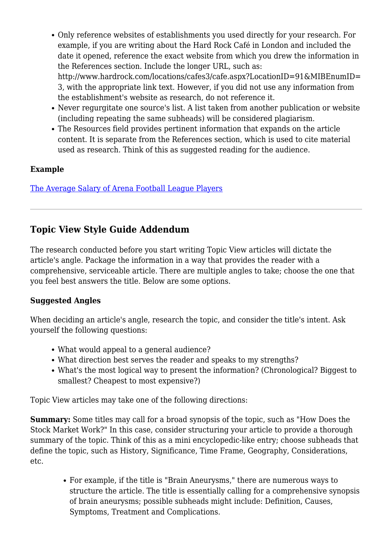- Only reference websites of establishments you used directly for your research. For example, if you are writing about the Hard Rock Café in London and included the date it opened, reference the exact website from which you drew the information in the References section. Include the longer URL, such as: http://www.hardrock.com/locations/cafes3/cafe.aspx?LocationID=91&MIBEnumID= 3, with the appropriate link text. However, if you did not use any information from the establishment's website as research, do not reference it.
- Never regurgitate one source's list. A list taken from another publication or website (including repeating the same subheads) will be considered plagiarism.
- The Resources field provides pertinent information that expands on the article content. It is separate from the References section, which is used to cite material used as research. Think of this as suggested reading for the audience.

## **Example**

[The Average Salary of Arena Football League Players](http://www.ehow.com/info_7759608_average-arena-football-league-players.html)

## **Topic View Style Guide Addendum**

The research conducted before you start writing Topic View articles will dictate the article's angle. Package the information in a way that provides the reader with a comprehensive, serviceable article. There are multiple angles to take; choose the one that you feel best answers the title. Below are some options.

## **Suggested Angles**

When deciding an article's angle, research the topic, and consider the title's intent. Ask yourself the following questions:

- What would appeal to a general audience?
- What direction best serves the reader and speaks to my strengths?
- What's the most logical way to present the information? (Chronological? Biggest to smallest? Cheapest to most expensive?)

Topic View articles may take one of the following directions:

**Summary:** Some titles may call for a broad synopsis of the topic, such as "How Does the Stock Market Work?" In this case, consider structuring your article to provide a thorough summary of the topic. Think of this as a mini encyclopedic-like entry; choose subheads that define the topic, such as History, Significance, Time Frame, Geography, Considerations, etc.

For example, if the title is "Brain Aneurysms," there are numerous ways to structure the article. The title is essentially calling for a comprehensive synopsis of brain aneurysms; possible subheads might include: Definition, Causes, Symptoms, Treatment and Complications.